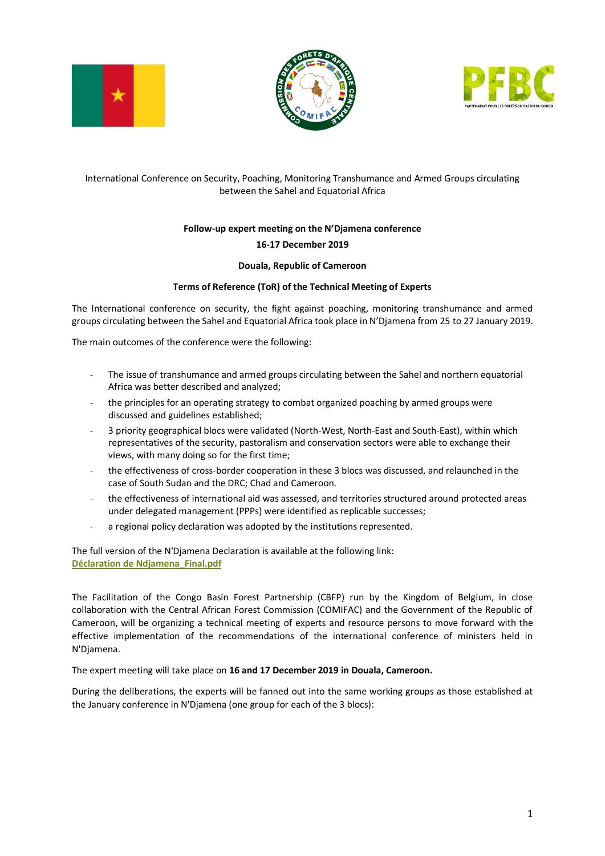





## International Conference on Security, Poaching, Monitoring Transhumance and Armed Groups circulating between the Sahel and Equatorial Africa

# **Follow-up expert meeting on the N'Djamena conference 16-17 December 2019**

### **Douala, Republic of Cameroon**

### **Terms of Reference (ToR) of the Technical Meeting of Experts**

The International conference on security, the fight against poaching, monitoring transhumance and armed groups circulating between the Sahel and Equatorial Africa took place in N'Djamena from 25 to 27 January 2019.

The main outcomes of the conference were the following:

- The issue of transhumance and armed groups circulating between the Sahel and northern equatorial Africa was better described and analyzed;
- the principles for an operating strategy to combat organized poaching by armed groups were discussed and guidelines established;
- 3 priority geographical blocs were validated (North-West, North-East and South-East), within which representatives of the security, pastoralism and conservation sectors were able to exchange their views, with many doing so for the first time;
- the effectiveness of cross-border cooperation in these 3 blocs was discussed, and relaunched in the case of South Sudan and the DRC; Chad and Cameroon.
- the effectiveness of international aid was assessed, and territories structured around protected areas under delegated management (PPPs) were identified as replicable successes;
- a regional policy declaration was adopted by the institutions represented.

The full version of the N'Djamena Declaration is available at the following link: **[Déclaration de Ndjamena\\_Final.pdf](https://pfbc-cbfp.org/docs/Conference%20N)**

The Facilitation of the Congo Basin Forest Partnership (CBFP) run by the Kingdom of Belgium, in close collaboration with the Central African Forest Commission (COMIFAC) and the Government of the Republic of Cameroon, will be organizing a technical meeting of experts and resource persons to move forward with the effective implementation of the recommendations of the international conference of ministers held in N'Djamena.

The expert meeting will take place on **16 and 17 December 2019 in Douala, Cameroon.**

During the deliberations, the experts will be fanned out into the same working groups as those established at the January conference in N'Djamena (one group for each of the 3 blocs):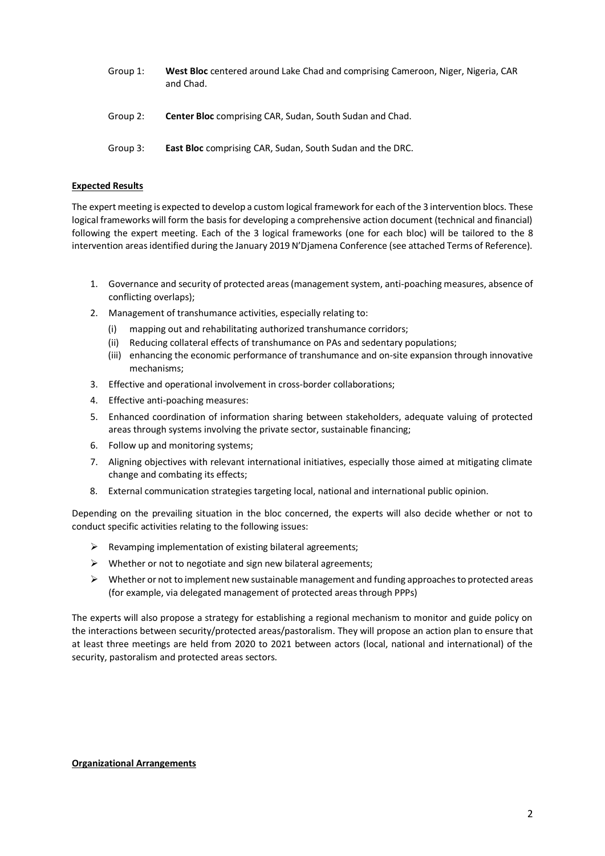- Group 1: **West Bloc** centered around Lake Chad and comprising Cameroon, Niger, Nigeria, CAR and Chad.
- Group 2: **Center Bloc** comprising CAR, Sudan, South Sudan and Chad.
- Group 3: **East Bloc** comprising CAR, Sudan, South Sudan and the DRC.

### **Expected Results**

The expert meeting is expected to develop a custom logical framework for each of the 3 intervention blocs. These logical frameworks will form the basis for developing a comprehensive action document (technical and financial) following the expert meeting. Each of the 3 logical frameworks (one for each bloc) will be tailored to the 8 intervention areas identified during the January 2019 N'Djamena Conference (see attached Terms of Reference).

- 1. Governance and security of protected areas (management system, anti-poaching measures, absence of conflicting overlaps);
- 2. Management of transhumance activities, especially relating to:
	- (i) mapping out and rehabilitating authorized transhumance corridors;
	- (ii) Reducing collateral effects of transhumance on PAs and sedentary populations;
	- (iii) enhancing the economic performance of transhumance and on-site expansion through innovative mechanisms;
- 3. Effective and operational involvement in cross-border collaborations;
- 4. Effective anti-poaching measures:
- 5. Enhanced coordination of information sharing between stakeholders, adequate valuing of protected areas through systems involving the private sector, sustainable financing;
- 6. Follow up and monitoring systems;
- 7. Aligning objectives with relevant international initiatives, especially those aimed at mitigating climate change and combating its effects;
- 8. External communication strategies targeting local, national and international public opinion.

Depending on the prevailing situation in the bloc concerned, the experts will also decide whether or not to conduct specific activities relating to the following issues:

- $\triangleright$  Revamping implementation of existing bilateral agreements;
- $\triangleright$  Whether or not to negotiate and sign new bilateral agreements;
- $\triangleright$  Whether or not to implement new sustainable management and funding approaches to protected areas (for example, via delegated management of protected areas through PPPs)

The experts will also propose a strategy for establishing a regional mechanism to monitor and guide policy on the interactions between security/protected areas/pastoralism. They will propose an action plan to ensure that at least three meetings are held from 2020 to 2021 between actors (local, national and international) of the security, pastoralism and protected areas sectors.

#### **Organizational Arrangements**